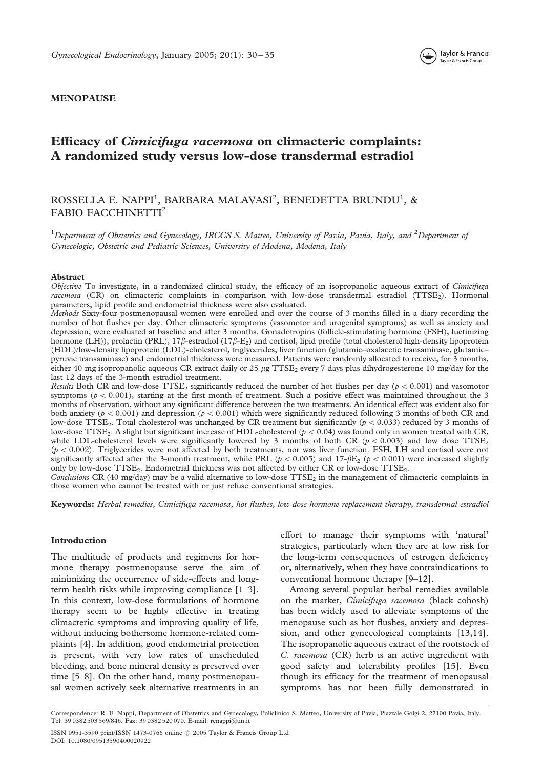

## MENOPAUSE

# Efficacy of Cimicifuga racemosa on climacteric complaints: A randomized study versus low-dose transdermal estradiol

## ROSSELLA E. NAPPI<sup>1</sup>, BARBARA MALAVASI<sup>2</sup>, BENEDETTA BRUNDU<sup>1</sup>, & FABIO FACCHINETTI<sup>2</sup>

<sup>1</sup>Department of Obstetrics and Gynecology, IRCCS S. Matteo, University of Pavia, Pavia, Italy, and <sup>2</sup>Department of Gynecologic, Obstetric and Pediatric Sciences, University of Modena, Modena, Italy

## Abstract

Objective To investigate, in a randomized clinical study, the efficacy of an isopropanolic aqueous extract of Cimicifuga racemosa (CR) on climacteric complaints in comparison with low-dose transdermal estradiol (TTSE<sub>2</sub>). Hormonal parameters, lipid profile and endometrial thickness were also evaluated.

Methods Sixty-four postmenopausal women were enrolled and over the course of 3 months filled in a diary recording the number of hot flushes per day. Other climacteric symptoms (vasomotor and urogenital symptoms) as well as anxiety and depression, were evaluated at baseline and after 3 months. Gonadotropins (follicle-stimulating hormone (FSH), luetinizing hormone (LH)), prolactin (PRL),  $17\beta$ -estradiol ( $17\beta$ -E<sub>2</sub>) and cortisol, lipid profile (total cholesterol high-density lipoprotein (HDL)/low-density lipoprotein (LDL)-cholesterol, triglycerides, liver function (glutamic–oxalacetic transaminase, glutamic– pyruvic transaminase) and endometrial thickness were measured. Patients were randomly allocated to receive, for 3 months, either 40 mg isopropanolic aqueous CR extract daily or 25  $\mu$ g TTSE<sub>2</sub> every 7 days plus dihydrogesterone 10 mg/day for the last 12 days of the 3-month estradiol treatment.

Results Both CR and low-dose TTSE<sub>2</sub> significantly reduced the number of hot flushes per day ( $p < 0.001$ ) and vasomotor symptoms ( $p < 0.001$ ), starting at the first month of treatment. Such a positive effect was maintained throughout the 3 months of observation, without any significant difference between the two treatments. An identical effect was evident also for both anxiety ( $p < 0.001$ ) and depression ( $p < 0.001$ ) which were significantly reduced following 3 months of both CR and low-dose TTSE<sub>2</sub>. Total cholesterol was unchanged by CR treatment but significantly ( $p < 0.033$ ) reduced by 3 months of low-dose TTSE<sub>2</sub>. A slight but significant increase of HDL-cholesterol ( $p < 0.04$ ) was found only in women treated with CR, while LDL-cholesterol levels were significantly lowered by 3 months of both CR ( $p < 0.003$ ) and low dose TTSE<sub>2</sub>  $(p < 0.002)$ . Triglycerides were not affected by both treatments, nor was liver function. FSH, LH and cortisol were not significantly affected after the 3-month treatment, while PRL ( $p < 0.005$ ) and 17- $\beta$ E<sub>2</sub> ( $p < 0.001$ ) were increased slightly only by low-dose TTSE<sub>2</sub>. Endometrial thickness was not affected by either CR or low-dose TTSE<sub>2</sub>.

Conclusions CR (40 mg/day) may be a valid alternative to low-dose  $TTSE<sub>2</sub>$  in the management of climacteric complaints in those women who cannot be treated with or just refuse conventional strategies.

Keywords: Herbal remedies, Cimicifuga racemosa, hot flushes, low dose hormone replacement therapy, transdermal estradiol

## Introduction

The multitude of products and regimens for hormone therapy postmenopause serve the aim of minimizing the occurrence of side-effects and longterm health risks while improving compliance [1–3]. In this context, low-dose formulations of hormone therapy seem to be highly effective in treating climacteric symptoms and improving quality of life, without inducing bothersome hormone-related complaints [4]. In addition, good endometrial protection is present, with very low rates of unscheduled bleeding, and bone mineral density is preserved over time [5–8]. On the other hand, many postmenopausal women actively seek alternative treatments in an effort to manage their symptoms with 'natural' strategies, particularly when they are at low risk for the long-term consequences of estrogen deficiency or, alternatively, when they have contraindications to conventional hormone therapy [9–12].

Among several popular herbal remedies available on the market, Cimicifuga racemosa (black cohosh) has been widely used to alleviate symptoms of the menopause such as hot flushes, anxiety and depression, and other gynecological complaints [13,14]. The isopropanolic aqueous extract of the rootstock of C. racemosa (CR) herb is an active ingredient with good safety and tolerability profiles [15]. Even though its efficacy for the treatment of menopausal symptoms has not been fully demonstrated in

Correspondence: R. E. Nappi, Department of Obstetrics and Gynecology, Policlinico S. Matteo, University of Pavia, Piazzale Golgi 2, 27100 Pavia, Italy. Tel: 39 0382 503 569/846. Fax: 39 0382 520 070. E-mail: renappi@tin.it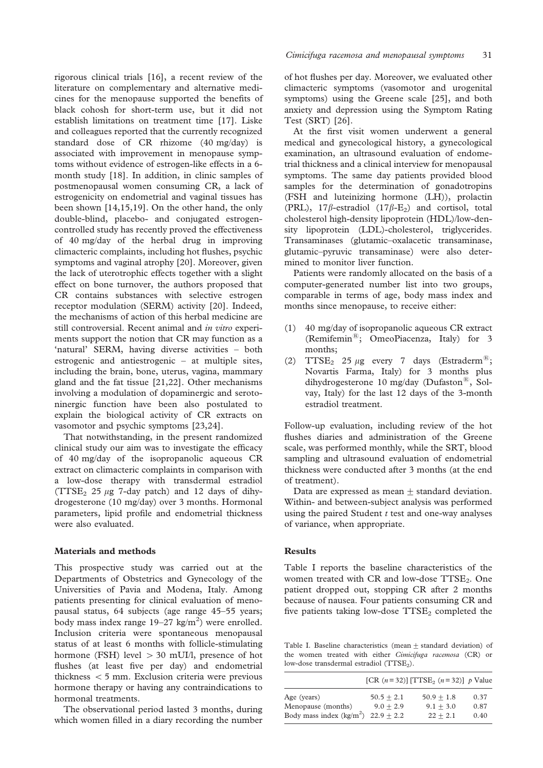rigorous clinical trials [16], a recent review of the literature on complementary and alternative medicines for the menopause supported the benefits of black cohosh for short-term use, but it did not establish limitations on treatment time [17]. Liske and colleagues reported that the currently recognized standard dose of CR rhizome (40 mg/day) is associated with improvement in menopause symptoms without evidence of estrogen-like effects in a 6 month study [18]. In addition, in clinic samples of postmenopausal women consuming CR, a lack of estrogenicity on endometrial and vaginal tissues has been shown [14,15,19]. On the other hand, the only double-blind, placebo- and conjugated estrogencontrolled study has recently proved the effectiveness of 40 mg/day of the herbal drug in improving climacteric complaints, including hot flushes, psychic symptoms and vaginal atrophy [20]. Moreover, given the lack of uterotrophic effects together with a slight effect on bone turnover, the authors proposed that CR contains substances with selective estrogen receptor modulation (SERM) activity [20]. Indeed, the mechanisms of action of this herbal medicine are still controversial. Recent animal and in vitro experiments support the notion that CR may function as a 'natural' SERM, having diverse activities – both estrogenic and antiestrogenic – at multiple sites, including the brain, bone, uterus, vagina, mammary gland and the fat tissue [21,22]. Other mechanisms involving a modulation of dopaminergic and serotoninergic function have been also postulated to explain the biological activity of CR extracts on vasomotor and psychic symptoms [23,24].

That notwithstanding, in the present randomized clinical study our aim was to investigate the efficacy of 40 mg/day of the isopropanolic aqueous CR extract on climacteric complaints in comparison with a low-dose therapy with transdermal estradiol (TTSE<sub>2</sub> 25  $\mu$ g 7-day patch) and 12 days of dihydrogesterone (10 mg/day) over 3 months. Hormonal parameters, lipid profile and endometrial thickness were also evaluated.

## Materials and methods

This prospective study was carried out at the Departments of Obstetrics and Gynecology of the Universities of Pavia and Modena, Italy. Among patients presenting for clinical evaluation of menopausal status, 64 subjects (age range 45–55 years; body mass index range  $19-27$  kg/m<sup>2</sup>) were enrolled. Inclusion criteria were spontaneous menopausal status of at least 6 months with follicle-stimulating hormone (FSH) level  $> 30$  mUI/l, presence of hot flushes (at least five per day) and endometrial thickness  $<$  5 mm. Exclusion criteria were previous hormone therapy or having any contraindications to hormonal treatments.

The observational period lasted 3 months, during which women filled in a diary recording the number of hot flushes per day. Moreover, we evaluated other climacteric symptoms (vasomotor and urogenital symptoms) using the Greene scale [25], and both anxiety and depression using the Symptom Rating Test (SRT) [26].

At the first visit women underwent a general medical and gynecological history, a gynecological examination, an ultrasound evaluation of endometrial thickness and a clinical interview for menopausal symptoms. The same day patients provided blood samples for the determination of gonadotropins (FSH and luteinizing hormone (LH)), prolactin (PRL),  $17\beta$ -estradiol  $(17\beta$ -E<sub>2</sub>) and cortisol, total cholesterol high-density lipoprotein (HDL)/low-density lipoprotein (LDL)-cholesterol, triglycerides. Transaminases (glutamic–oxalacetic transaminase, glutamic–pyruvic transaminase) were also determined to monitor liver function.

Patients were randomly allocated on the basis of a computer-generated number list into two groups, comparable in terms of age, body mass index and months since menopause, to receive either:

- (1) 40 mg/day of isopropanolic aqueous CR extract (Remifemin $^{(8)}$ ; OmeoPiacenza, Italy) for 3 months;
- (2)  $TTSE_2$  25  $\mu$ g every 7 days (Estraderm<sup>®</sup>; Novartis Farma, Italy) for 3 months plus dihydrogesterone 10 mg/day (Dufaston<sup>®</sup>, Solvay, Italy) for the last 12 days of the 3-month estradiol treatment.

Follow-up evaluation, including review of the hot flushes diaries and administration of the Greene scale, was performed monthly, while the SRT, blood sampling and ultrasound evaluation of endometrial thickness were conducted after 3 months (at the end of treatment).

Data are expressed as mean  $+$  standard deviation. Within- and between-subject analysis was performed using the paired Student  $t$  test and one-way analyses of variance, when appropriate.

#### Results

Table I reports the baseline characteristics of the women treated with CR and low-dose TTSE<sub>2</sub>. One patient dropped out, stopping CR after 2 months because of nausea. Four patients consuming CR and five patients taking low-dose  $TTSE<sub>2</sub>$  completed the

Table I. Baseline characteristics (mean + standard deviation) of the women treated with either Cimicifuga racemosa (CR) or low-dose transdermal estradiol (TTSE<sub>2</sub>).

|                                                                                |                             | [CR $(n = 32)$ ] [TTSE <sub>2</sub> $(n = 32)$ ] p Value |                      |
|--------------------------------------------------------------------------------|-----------------------------|----------------------------------------------------------|----------------------|
| Age (years)<br>Menopause (months)<br>Body mass index $(kg/m^2)$ 22.9 $\pm$ 2.2 | $50.5 + 2.1$<br>$9.0 + 2.9$ | $50.9 + 1.8$<br>$9.1 + 3.0$<br>$22 + 2.1$                | 0.37<br>0.87<br>0.40 |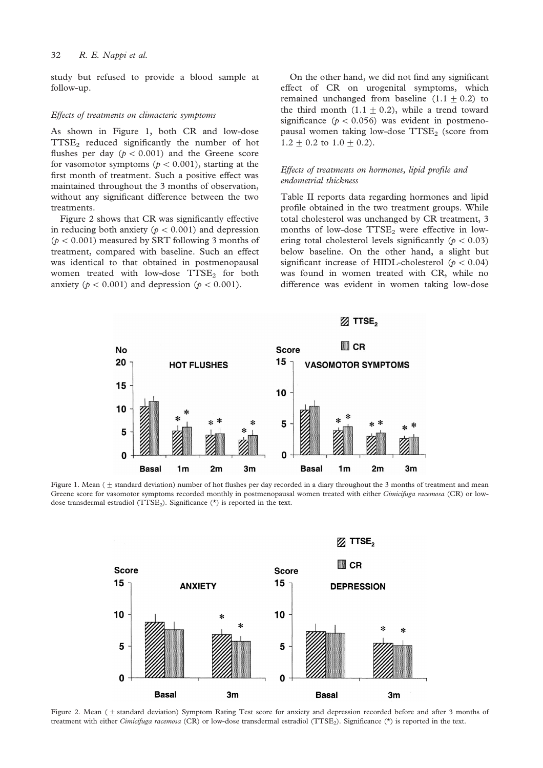study but refused to provide a blood sample at follow-up.

#### Effects of treatments on climacteric symptoms

As shown in Figure 1, both CR and low-dose TTSE2 reduced significantly the number of hot flushes per day  $(p < 0.001)$  and the Greene score for vasomotor symptoms ( $p < 0.001$ ), starting at the first month of treatment. Such a positive effect was maintained throughout the 3 months of observation, without any significant difference between the two treatments.

Figure 2 shows that CR was significantly effective in reducing both anxiety ( $p < 0.001$ ) and depression  $(p < 0.001)$  measured by SRT following 3 months of treatment, compared with baseline. Such an effect was identical to that obtained in postmenopausal women treated with low-dose  $TTSE<sub>2</sub>$  for both anxiety ( $p < 0.001$ ) and depression ( $p < 0.001$ ).

On the other hand, we did not find any significant effect of CR on urogenital symptoms, which remained unchanged from baseline  $(1.1 \pm 0.2)$  to the third month  $(1.1 + 0.2)$ , while a trend toward significance ( $p < 0.056$ ) was evident in postmenopausal women taking low-dose  $TTSE<sub>2</sub>$  (score from  $1.2 \pm 0.2$  to  $1.0 \pm 0.2$ ).

## Effects of treatments on hormones, lipid profile and endometrial thickness

Table II reports data regarding hormones and lipid profile obtained in the two treatment groups. While total cholesterol was unchanged by CR treatment, 3 months of low-dose  $TTSE<sub>2</sub>$  were effective in lowering total cholesterol levels significantly ( $p < 0.03$ ) below baseline. On the other hand, a slight but significant increase of HIDL-cholesterol ( $p < 0.04$ ) was found in women treated with CR, while no difference was evident in women taking low-dose



Figure 1. Mean  $(+)$  standard deviation) number of hot flushes per day recorded in a diary throughout the 3 months of treatment and mean Greene score for vasomotor symptoms recorded monthly in postmenopausal women treated with either Cimicifuga racemosa (CR) or lowdose transdermal estradiol ( $TTSE<sub>2</sub>$ ). Significance (\*) is reported in the text.



Figure 2. Mean ( $\pm$  standard deviation) Symptom Rating Test score for anxiety and depression recorded before and after 3 months of treatment with either Cimicifuga racemosa (CR) or low-dose transdermal estradiol (TTSE<sub>2</sub>). Significance (\*) is reported in the text.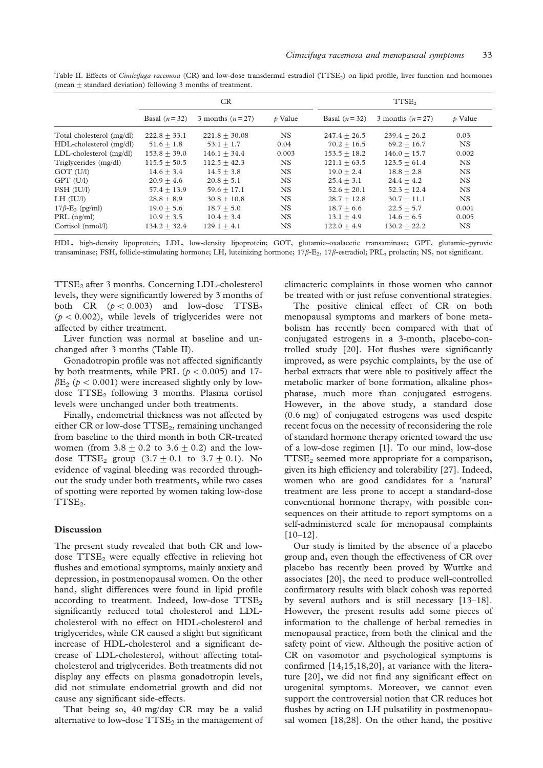Table II. Effects of Cimicifuga racemosa (CR) and low-dose transdermal estradiol (TTSE<sub>2</sub>) on lipid profile, liver function and hormones (mean  $+$  standard deviation) following 3 months of treatment.

|                                   | CR.            |                   |               | TTSE <sub>2</sub> |                   |                     |
|-----------------------------------|----------------|-------------------|---------------|-------------------|-------------------|---------------------|
|                                   | Basal $(n=32)$ | 3 months $(n=27)$ | $\n  p$ Value | Basal $(n=32)$    | 3 months $(n=27)$ | $\mathcal{D}$ Value |
| Total cholesterol (mg/dl)         | $222.8 + 33.1$ | $221.8 + 30.08$   | <b>NS</b>     | $247.4 + 26.5$    | $239.4 + 26.2$    | 0.03                |
| HDL-cholesterol (mg/dl)           | $51.6 + 1.8$   | $53.1 + 1.7$      | 0.04          | $70.2 + 16.5$     | $69.2 + 16.7$     | NS.                 |
| $LDL$ -cholesterol $(mg/dl)$      | $153.8 + 39.0$ | $146.1 + 34.4$    | 0.003         | $153.5 + 18.2$    | $146.0 + 15.7$    | 0.002               |
| Triglycerides (mg/dl)             | $115.5 + 50.5$ | $112.5 + 42.3$    | NS.           | $121.1 + 63.5$    | $123.5 + 61.4$    | NS.                 |
| GOT (U/l)                         | $14.6 + 3.4$   | $14.5 + 3.8$      | <b>NS</b>     | $19.0 + 2.4$      | $18.8 + 2.8$      | <b>NS</b>           |
| GPT (U/l)                         | $20.9 + 4.6$   | $20.8 + 5.1$      | <b>NS</b>     | $25.4 + 3.1$      | $24.4 + 4.2$      | <b>NS</b>           |
| FSH (IU/l)                        | $57.4 + 13.9$  | 59.6 $\pm$ 17.1   | NS.           | $52.6 + 20.1$     | $52.3 + 12.4$     | <b>NS</b>           |
| $LH$ (IU/l)                       | $28.8 + 8.9$   | $30.8 + 10.8$     | <b>NS</b>     | $28.7 + 12.8$     | $30.7 + 11.1$     | NS.                 |
| $17\beta$ -E <sub>2</sub> (pg/ml) | $19.0 + 5.6$   | $18.7 + 5.0$      | <b>NS</b>     | $18.7 + 6.6$      | $22.5 + 5.7$      | 0.001               |
| $PRL$ (ng/ml)                     | $10.9 + 3.5$   | $10.4 + 3.4$      | NS.           | $13.1 + 4.9$      | $14.6 + 6.5$      | 0.005               |
| Cortisol (nmol/l)                 | $134.2 + 32.4$ | $129.1 + 4.1$     | <b>NS</b>     | $122.0 + 4.9$     | $130.2 + 22.2$    | <b>NS</b>           |

HDL, high-density lipoprotein; LDL, low-density lipoprotein; GOT, glutamic–oxalacetic transaminase; GPT, glutamic–pyruvic transaminase; FSH, follicle-stimulating hormone; LH, luteinizing hormone;  $17\beta$ -E<sub>2</sub>,  $17\beta$ -estradiol; PRL, prolactin; NS, not significant.

TTSE2 after 3 months. Concerning LDL-cholesterol levels, they were significantly lowered by 3 months of both CR  $(p < 0.003)$  and low-dose TTSE<sub>2</sub>  $(p < 0.002)$ , while levels of triglycerides were not affected by either treatment.

Liver function was normal at baseline and unchanged after 3 months (Table II).

Gonadotropin profile was not affected significantly by both treatments, while PRL ( $p < 0.005$ ) and 17- $\beta$ E<sub>2</sub> ( $p < 0.001$ ) were increased slightly only by lowdose TTSE<sub>2</sub> following 3 months. Plasma cortisol levels were unchanged under both treatments.

Finally, endometrial thickness was not affected by either CR or low-dose TTSE<sub>2</sub>, remaining unchanged from baseline to the third month in both CR-treated women (from  $3.8 \pm 0.2$  to  $3.6 \pm 0.2$ ) and the lowdose TTSE<sub>2</sub> group  $(3.7 \pm 0.1 \text{ to } 3.7 \pm 0.1)$ . No evidence of vaginal bleeding was recorded throughout the study under both treatments, while two cases of spotting were reported by women taking low-dose TTSE<sub>2</sub>.

## Discussion

The present study revealed that both CR and lowdose  $TTSE<sub>2</sub>$  were equally effective in relieving hot flushes and emotional symptoms, mainly anxiety and depression, in postmenopausal women. On the other hand, slight differences were found in lipid profile according to treatment. Indeed, low-dose  $TTSE<sub>2</sub>$ significantly reduced total cholesterol and LDLcholesterol with no effect on HDL-cholesterol and triglycerides, while CR caused a slight but significant increase of HDL-cholesterol and a significant decrease of LDL-cholesterol, without affecting totalcholesterol and triglycerides. Both treatments did not display any effects on plasma gonadotropin levels, did not stimulate endometrial growth and did not cause any significant side-effects.

That being so, 40 mg/day CR may be a valid alternative to low-dose  $TTSE_2$  in the management of climacteric complaints in those women who cannot be treated with or just refuse conventional strategies.

The positive clinical effect of CR on both menopausal symptoms and markers of bone metabolism has recently been compared with that of conjugated estrogens in a 3-month, placebo-controlled study [20]. Hot flushes were significantly improved, as were psychic complaints, by the use of herbal extracts that were able to positively affect the metabolic marker of bone formation, alkaline phosphatase, much more than conjugated estrogens. However, in the above study, a standard dose (0.6 mg) of conjugated estrogens was used despite recent focus on the necessity of reconsidering the role of standard hormone therapy oriented toward the use of a low-dose regimen [1]. To our mind, low-dose  $TTSE<sub>2</sub>$  seemed more appropriate for a comparison, given its high efficiency and tolerability [27]. Indeed, women who are good candidates for a 'natural' treatment are less prone to accept a standard-dose conventional hormone therapy, with possible consequences on their attitude to report symptoms on a self-administered scale for menopausal complaints  $[10-12]$ .

Our study is limited by the absence of a placebo group and, even though the effectiveness of CR over placebo has recently been proved by Wuttke and associates [20], the need to produce well-controlled confirmatory results with black cohosh was reported by several authors and is still necessary [13–18]. However, the present results add some pieces of information to the challenge of herbal remedies in menopausal practice, from both the clinical and the safety point of view. Although the positive action of CR on vasomotor and psychological symptoms is confirmed [14,15,18,20], at variance with the literature [20], we did not find any significant effect on urogenital symptoms. Moreover, we cannot even support the controversial notion that CR reduces hot flushes by acting on LH pulsatility in postmenopausal women [18,28]. On the other hand, the positive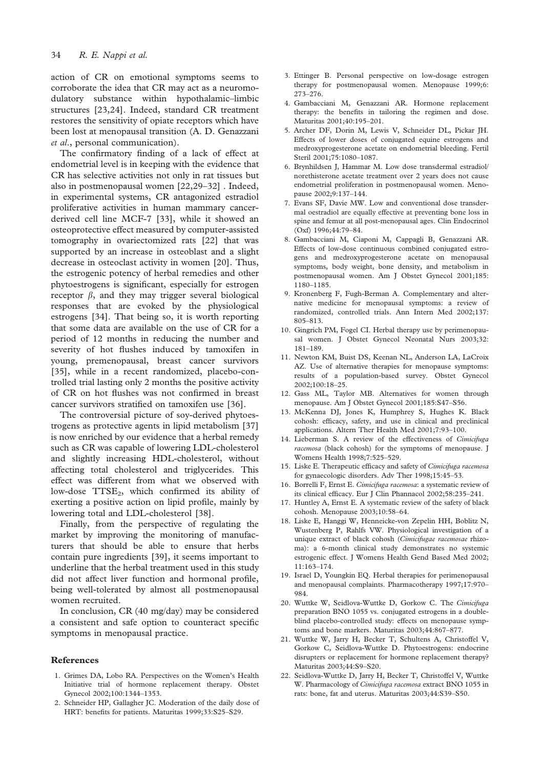action of CR on emotional symptoms seems to corroborate the idea that CR may act as a neuromodulatory substance within hypothalamic–limbic structures [23,24]. Indeed, standard CR treatment restores the sensitivity of opiate receptors which have been lost at menopausal transition (A. D. Genazzani et al., personal communication).

The confirmatory finding of a lack of effect at endometrial level is in keeping with the evidence that CR has selective activities not only in rat tissues but also in postmenopausal women [22,29–32] . Indeed, in experimental systems, CR antagonized estradiol proliferative activities in human mammary cancerderived cell line MCF-7 [33], while it showed an osteoprotective effect measured by computer-assisted tomography in ovariectomized rats [22] that was supported by an increase in osteoblast and a slight decrease in osteoclast activity in women [20]. Thus, the estrogenic potency of herbal remedies and other phytoestrogens is significant, especially for estrogen receptor  $\beta$ , and they may trigger several biological responses that are evoked by the physiological estrogens [34]. That being so, it is worth reporting that some data are available on the use of CR for a period of 12 months in reducing the number and severity of hot flushes induced by tamoxifen in young, premenopausal, breast cancer survivors [35], while in a recent randomized, placebo-controlled trial lasting only 2 months the positive activity of CR on hot flushes was not confirmed in breast cancer survivors stratified on tamoxifen use [36].

The controversial picture of soy-derived phytoestrogens as protective agents in lipid metabolism [37] is now enriched by our evidence that a herbal remedy such as CR was capable of lowering LDL-cholesterol and slightly increasing HDL-cholesterol, without affecting total cholesterol and triglycerides. This effect was different from what we observed with low-dose TTSE<sub>2</sub>, which confirmed its ability of exerting a positive action on lipid profile, mainly by lowering total and LDL-cholesterol [38].

Finally, from the perspective of regulating the market by improving the monitoring of manufacturers that should be able to ensure that herbs contain pure ingredients [39], it seems important to underline that the herbal treatment used in this study did not affect liver function and hormonal profile, being well-tolerated by almost all postmenopausal women recruited.

In conclusion, CR (40 mg/day) may be considered a consistent and safe option to counteract specific symptoms in menopausal practice.

#### References

- 1. Grimes DA, Lobo RA. Perspectives on the Women's Health Initiative trial of hormone replacement therapy. Obstet Gynecol 2002;100:1344–1353.
- 2. Schneider HP, Gallagher JC. Moderation of the daily dose of HRT: benefits for patients. Maturitas 1999;33:S25–S29.
- 3. Ettinger B. Personal perspective on low-dosage estrogen therapy for postmenopausal women. Menopause 1999;6: 273–276.
- 4. Gambacciani M, Genazzani AR. Hormone replacement therapy: the benefits in tailoring the regimen and dose. Maturitas 2001;40:195–201.
- 5. Archer DF, Dorin M, Lewis V, Schneider DL, Pickar JH. Effects of lower doses of conjugated equine estrogens and medroxyprogesterone acetate on endometrial bleeding. Fertil Steril 2001;75:1080–1087.
- 6. Brynhildsen J, Hammar M. Low dose transdermal estradiol/ norethisterone acetate treatment over 2 years does not cause endometrial proliferation in postmenopausal women. Menopause 2002;9:137–144.
- 7. Evans SF, Davie MW. Low and conventional dose transdermal oestradiol are equally effective at preventing bone loss in spine and femur at all post-menopausal ages. Clin Endocrinol (Oxf) 1996;44:79–84.
- 8. Gambacciani M, Ciaponi M, Cappagli B, Genazzani AR. Effects of low-dose continuous combined conjugated estrogens and medroxyprogesterone acetate on menopausal symptoms, body weight, bone density, and metabolism in postmenopausal women. Am J Obstet Gynecol 2001;185: 1180–1185.
- 9. Kronenberg F, Fugh-Berman A. Complementary and alternative medicine for menopausal symptoms: a review of randomized, controlled trials. Ann Intern Med 2002;137: 805–813.
- 10. Gingrich PM, Fogel CI. Herbal therapy use by perimenopausal women. J Obstet Gynecol Neonatal Nurs 2003;32: 181–189.
- 11. Newton KM, Buist DS, Keenan NL, Anderson LA, LaCroix AZ. Use of alternative therapies for menopause symptoms: results of a population-based survey. Obstet Gynecol 2002;100:18–25.
- 12. Gass ML, Taylor MB. Alternatives for women through menopause. Am J Obstet Gynecol 2001;185:S47–S56.
- 13. McKenna DJ, Jones K, Humphrey S, Hughes K. Black cohosh: efficacy, safety, and use in clinical and preclinical applications. Altern Ther Health Med 2001;7:93–100.
- 14. Lieberman S. A review of the effectiveness of Cimicifuga racemosa (black cohosh) for the symptoms of menopause. J Womens Health 1998;7:525–529.
- 15. Liske E. Therapeutic efficacy and safety of Cimicifuga racemosa for gynaecologic disorders. Adv Ther 1998;15:45–53.
- 16. Borrelli F, Ernst E. Cimicifuga racemosa: a systematic review of its clinical efficacy. Eur J Clin Phannacol 2002;58:235–241.
- 17. Huntley A, Ernst E. A systematic review of the safety of black cohosh. Menopause 2003;10:58–64.
- 18. Liske E, Hanggi W, Henneicke-von Zepelin HH, Boblitz N, Wustenberg P, Rahlfs VW. Physiological investigation of a unique extract of black cohosh (Cimicifugae racemosae rhizoma): a 6-month clinical study demonstrates no systemic estrogenic effect. J Womens Health Gend Based Med 2002;  $11:163 - 174$
- 19. Israel D, Youngkin EQ. Herbal therapies for perimenopausal and menopausal complaints. Pharmacotherapy 1997;17:970– 984.
- 20. Wuttke W, Seidlova-Wuttke D, Gorkow C. The Cimicifuga preparation BNO 1055 vs. conjugated estrogens in a doubleblind placebo-controlled study: effects on menopause symptoms and bone markers. Maturitas 2003;44:867–877.
- 21. Wuttke W, Jarry H, Becker T, Schultens A, Christoffel V, Gorkow C, Seidlova-Wuttke D. Phytoestrogens: endocrine disrupters or replacement for hormone replacement therapy? Maturitas 2003;44:S9–S20.
- 22. Seidlova-Wuttke D, Jarry H, Becker T, Christoffel V, Wuttke W. Pharmacology of Cimicifuga racemosa extract BNO 1055 in rats: bone, fat and uterus. Maturitas 2003;44:S39–S50.